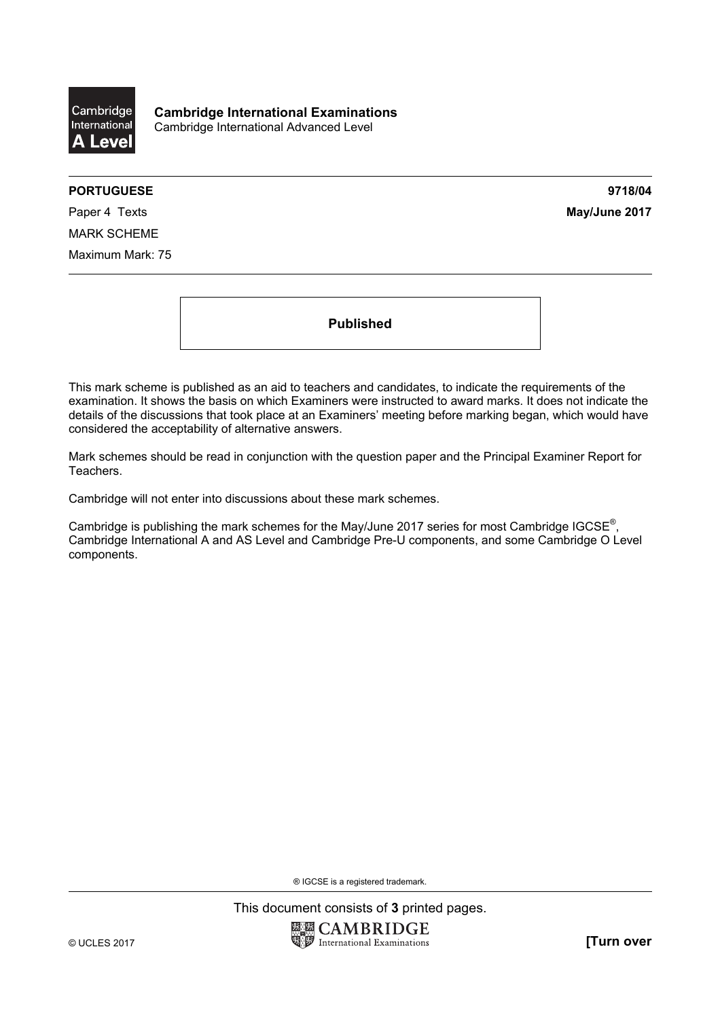

**Cambridge International Examinations**  Cambridge International Advanced Level

## **PORTUGUESE 9718/04**

Paper 4 Texts **May/June 2017** MARK SCHEME Maximum Mark: 75

**Published** 

This mark scheme is published as an aid to teachers and candidates, to indicate the requirements of the examination. It shows the basis on which Examiners were instructed to award marks. It does not indicate the details of the discussions that took place at an Examiners' meeting before marking began, which would have considered the acceptability of alternative answers.

Mark schemes should be read in conjunction with the question paper and the Principal Examiner Report for Teachers.

Cambridge will not enter into discussions about these mark schemes.

Cambridge is publishing the mark schemes for the May/June 2017 series for most Cambridge IGCSE<sup>®</sup>, Cambridge International A and AS Level and Cambridge Pre-U components, and some Cambridge O Level components.

® IGCSE is a registered trademark.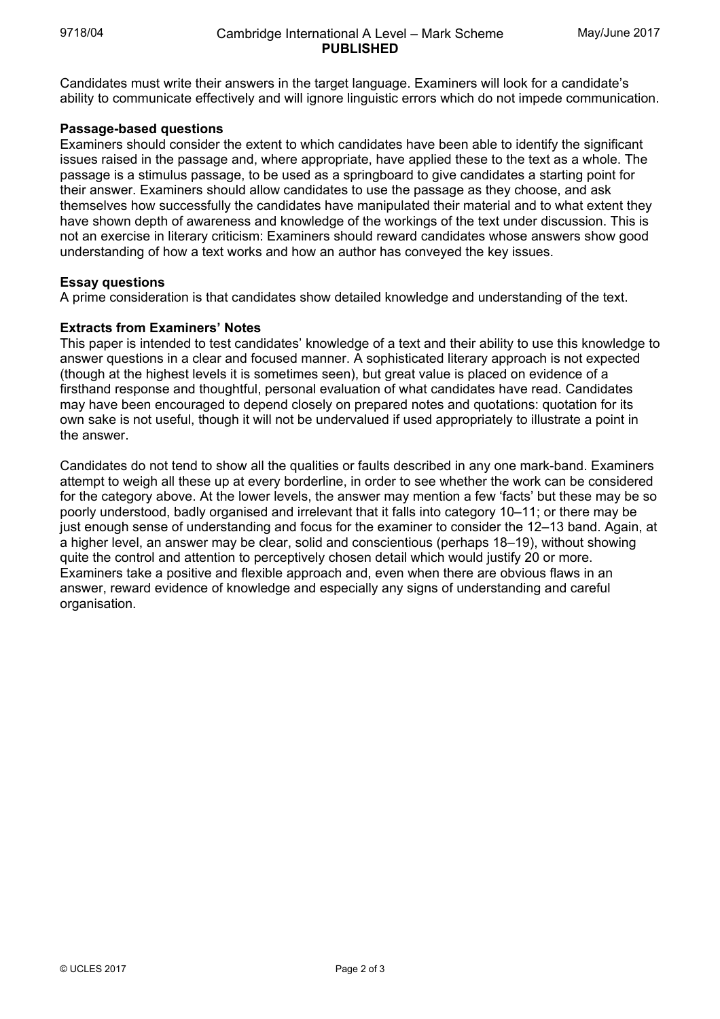Candidates must write their answers in the target language. Examiners will look for a candidate's ability to communicate effectively and will ignore linguistic errors which do not impede communication.

## **Passage-based questions**

Examiners should consider the extent to which candidates have been able to identify the significant issues raised in the passage and, where appropriate, have applied these to the text as a whole. The passage is a stimulus passage, to be used as a springboard to give candidates a starting point for their answer. Examiners should allow candidates to use the passage as they choose, and ask themselves how successfully the candidates have manipulated their material and to what extent they have shown depth of awareness and knowledge of the workings of the text under discussion. This is not an exercise in literary criticism: Examiners should reward candidates whose answers show good understanding of how a text works and how an author has conveyed the key issues.

## **Essay questions**

A prime consideration is that candidates show detailed knowledge and understanding of the text.

## **Extracts from Examiners' Notes**

This paper is intended to test candidates' knowledge of a text and their ability to use this knowledge to answer questions in a clear and focused manner. A sophisticated literary approach is not expected (though at the highest levels it is sometimes seen), but great value is placed on evidence of a firsthand response and thoughtful, personal evaluation of what candidates have read. Candidates may have been encouraged to depend closely on prepared notes and quotations: quotation for its own sake is not useful, though it will not be undervalued if used appropriately to illustrate a point in the answer.

Candidates do not tend to show all the qualities or faults described in any one mark-band. Examiners attempt to weigh all these up at every borderline, in order to see whether the work can be considered for the category above. At the lower levels, the answer may mention a few 'facts' but these may be so poorly understood, badly organised and irrelevant that it falls into category 10–11; or there may be just enough sense of understanding and focus for the examiner to consider the 12–13 band. Again, at a higher level, an answer may be clear, solid and conscientious (perhaps 18–19), without showing quite the control and attention to perceptively chosen detail which would justify 20 or more. Examiners take a positive and flexible approach and, even when there are obvious flaws in an answer, reward evidence of knowledge and especially any signs of understanding and careful organisation.